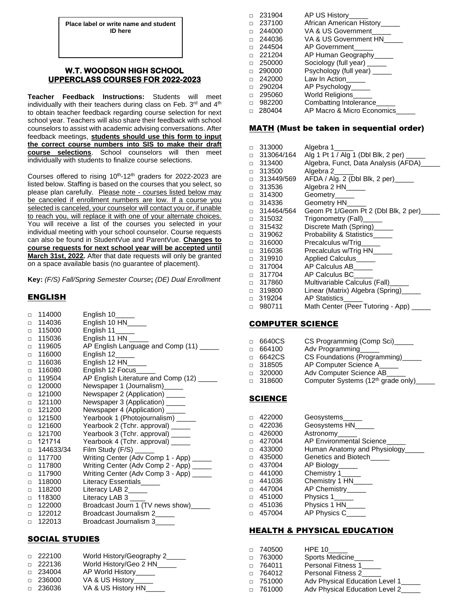**Place label or write name and student ID here**

## **W.T. WOODSON HIGH SCHOOL UPPERCLASS COURSES FOR 2022-2023**

**Teacher Feedback Instructions:** Students will meet individually with their teachers during class on Feb. 3rd and 4<sup>th</sup> to obtain teacher feedback regarding course selection for next school year. Teachers will also share their feedback with school counselors to assist with academic advising conversations. After feedback meetings, **students should use this form to input the correct course numbers into SIS to make their draft course selections**. School counselors will then meet individually with students to finalize course selections.

Courses offered to rising  $10<sup>th</sup>$ -12<sup>th</sup> graders for 2022-2023 are listed below. Staffing is based on the courses that you select, so please plan carefully. Please note - courses listed below may be canceled if enrollment numbers are low. If a course you selected is canceled, your counselor will contact you or, if unable to reach you, will replace it with one of your alternate choices. You will receive a list of the courses you selected in your individual meeting with your school counselor. Course requests can also be found in StudentVue and ParentVue. **Changes to course requests for next school year will be accepted until March 31st, 2022.** After that date requests will only be granted on a space available basis (no guarantee of placement).

**Key:** *(F/S) Fall/Spring Semester Course***;** *(DE) Dual Enrollment* 

### ENGLISH

| $\Box$ | 114000    | English 10______                        |
|--------|-----------|-----------------------------------------|
| $\Box$ | 114036    | English 10 HN_____                      |
| $\Box$ | 115000    | English $11$ <sub>______</sub>          |
| $\Box$ | 115036    | English 11 HN $\_\_\_\_\_\_\_\$         |
| П.     | 119605    | AP English Language and Comp (11) _____ |
| $\Box$ | 116000    | English $12$ <sub>______</sub>          |
| $\Box$ | 116036    | English 12 HN____                       |
| $\Box$ | 116080    | English 12 Focus_                       |
| $\Box$ | 119504    | AP English Literature and Comp (12) __  |
| $\Box$ | 120000    | Newspaper 1 (Journalism)_____           |
| $\Box$ | 121000    | Newspaper 2 (Application) _____         |
| $\Box$ | 121100    | Newspaper 3 (Application) _____         |
| $\Box$ | 121200    | Newspaper 4 (Application) ______        |
| $\Box$ | 121500    | Yearbook 1 (Photojournalism) _____      |
| $\Box$ | 121600    | Yearbook 2 (Tchr. approval) _____       |
| $\Box$ | 121700    | Yearbook 3 (Tchr. approval) _____       |
| $\Box$ | 121714    | Yearbook 4 (Tchr. approval) _____       |
| П.     | 144633/34 |                                         |
| $\Box$ | 117700    | Writing Center (Adv Comp 1 - App) _____ |
| $\Box$ | 117800    | Writing Center (Adv Comp 2 - App) _____ |
| $\Box$ | 117900    | Writing Center (Adv Comp 3 - App) _____ |
| $\Box$ | 118000    | Literacy Essentials                     |
| $\Box$ | 118200    | Literacy LAB 2____                      |
| $\Box$ | 118300    | Literacy LAB 3                          |
| $\Box$ | 122000    | Broadcast Journ 1 (TV news show)___     |
| П.     | 122012    | Broadcast Journalism 2____              |
| $\Box$ | 122013    | Broadcast Journalism 3                  |

### SOCIAL STUDIES

| $\Box$ 222100 | World History/Geography 2_____ |
|---------------|--------------------------------|
| $\Box$ 222136 | World History/Geo 2 HN_____    |
| $\Box$ 234004 | AP World History_____          |
| $\Box$ 236000 | VA & US History______          |
| □ 236036      | VA & US History HN             |
|               |                                |

|        | 231904 | AP US History_____            |
|--------|--------|-------------------------------|
| $\Box$ | 237100 | African American History_____ |
| $\Box$ | 244000 | VA & US Government            |
| $\Box$ | 244036 | VA & US Government HN         |
| $\Box$ | 244504 | AP Government                 |
| $\Box$ | 221204 | AP Human Geography_____       |
| $\Box$ | 250000 | Sociology (full year)         |
| $\Box$ | 290000 | Psychology (full year) _____  |
| $\Box$ | 242000 | Law In Action                 |
| $\Box$ | 290204 | AP Psychology_____            |
| $\Box$ | 295060 | World Religions_____          |
| $\Box$ | 982200 | Combatting Intolerance_____   |
| $\Box$ | 280404 | AP Macro & Micro Economics    |

#### MATH (Must be taken in sequential order)

| п      | 313000     | Algebra 1                              |
|--------|------------|----------------------------------------|
| □      | 313064/164 | Alg 1 Pt 1 / Alg 1 (Dbl Blk, 2 per) __ |
| $\Box$ | 313400     | Algebra, Funct, Data Analysis (AFDA)   |
| $\Box$ | 313500     | Algebra 2                              |
| $\Box$ | 313449/569 | AFDA / Alg. 2 (Dbl Blk, 2 per)         |
| $\Box$ | 313536     | Algebra 2 HN____                       |
| $\Box$ | 314300     | Geometry_____                          |
| $\Box$ | 314336     | Geometry HN                            |
| $\Box$ | 314464/564 | Geom Pt 1/Geom Pt 2 (Dbl Blk, 2 per)   |
| П.     | 315032     | Trigonometry (Fall)_____               |
| $\Box$ | 315432     | Discrete Math (Spring)______           |
| $\Box$ | 319062     | Probability & Statistics_____          |
| $\Box$ | 316000     | Precalculus w/Trig                     |
| $\Box$ | 316036     | Precalculus w/Trig HN                  |
| $\Box$ | 319910     | Applied Calculus                       |
| $\Box$ | 317004     | AP Calculus AB_____                    |
| $\Box$ | 317704     | AP Calculus BC                         |
| $\Box$ | 317860     | Multivariable Calculus (Fall)____      |
| $\Box$ | 319800     | Linear (Matrix) Algebra (Spring)__     |
| $\Box$ | 319204     | <b>AP Statistics</b>                   |
| П      | 980711     | Math Center (Peer Tutoring - App)      |

### COMPUTER SCIENCE

| $\Box$ | 6640CS        | CS Programming (Comp Sci)                      |
|--------|---------------|------------------------------------------------|
| $\Box$ | 664100        | Adv Programming                                |
| $\Box$ | 6642CS        | CS Foundations (Programming)_                  |
|        | $\Box$ 318505 | AP Computer Science A                          |
|        | $\Box$ 320000 | Adv Computer Science AB                        |
|        | $\Box$ 318600 | Computer Systems (12 <sup>th</sup> grade only) |
|        |               |                                                |

# **SCIENCE**

|        | 422000 | Geosystems                   |
|--------|--------|------------------------------|
| $\Box$ | 422036 | Geosystems HN_               |
| $\Box$ | 426000 | Astronomy                    |
| $\Box$ | 427004 | AP Environmental Science     |
| $\Box$ | 433000 | Human Anatomy and Physiology |
| $\Box$ | 435000 | Genetics and Biotech         |
| $\Box$ | 437004 | AP Biology                   |
| $\Box$ | 441000 | Chemistry 1                  |
| $\Box$ | 441036 | Chemistry 1 HN____           |
| $\Box$ | 447004 | AP Chemistry_____            |
| $\Box$ | 451000 | Physics 1                    |
| $\Box$ | 451036 | Physics 1 HN___              |
| $\Box$ | 457004 | AP Physics C                 |

## HEALTH & PHYSICAL EDUCATION

| $\Box$ 740500 | <b>HPE 10</b>                  |
|---------------|--------------------------------|
| $\Box$ 763000 | Sports Medicine                |
| $\Box$ 764011 | Personal Fitness 1             |
| $\Box$ 764012 | <b>Personal Fitness 2</b>      |
| $\Box$ 751000 | Adv Physical Education Level 1 |
| $\Box$ 761000 | Adv Physical Education Level 2 |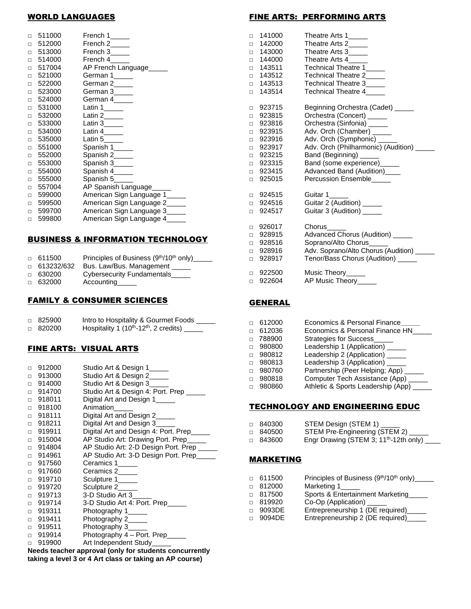# WORLD LANGUAGES

| П      | 511000 | French 1_____                 |
|--------|--------|-------------------------------|
| $\Box$ | 512000 | French 2_____                 |
| $\Box$ | 513000 | French 3_____                 |
| $\Box$ | 514000 | French 4                      |
| $\Box$ | 517004 | AP French Language            |
| $\Box$ | 521000 | German 1_____                 |
| $\Box$ | 522000 | German 2_____                 |
| $\Box$ | 523000 | German 3_____                 |
| $\Box$ | 524000 | German 4_____                 |
| $\Box$ | 531000 | Latin $1$ <sub>_____</sub>    |
| $\Box$ | 532000 |                               |
| $\Box$ | 533000 | Latin $3$ <sub>____</sub>     |
| П      | 534000 | Latin $4$ <sub>_____</sub>    |
| $\Box$ | 535000 | Latin 5____                   |
| $\Box$ | 551000 | Spanish 1_____                |
| $\Box$ | 552000 | Spanish 2_____                |
| $\Box$ | 553000 | Spanish 3_____                |
| $\Box$ | 554000 | Spanish 4_____                |
| $\Box$ | 555000 | Spanish 5_____                |
| $\Box$ | 557004 | AP Spanish Language_____      |
| $\Box$ | 599000 | American Sign Language 1      |
| П      | 599500 | American Sign Language 2      |
| $\Box$ | 599700 | American Sign Language 3_____ |
| $\Box$ | 599800 | American Sign Language 4      |

## BUSINESS & INFORMATION TECHNOLOGY

| $\Box$ 611500     | Principles of Business (9 <sup>th</sup> /10 <sup>th</sup> only) |
|-------------------|-----------------------------------------------------------------|
| $\Box$ 613232/632 | Bus. Law/Bus. Management                                        |
| $\Box$ 630200     | Cybersecurity Fundamentals                                      |
| $\Box$ 632000     | Accounting Theory                                               |

### FAMILY & CONSUMER SCIENCES

| □ 825900 | Intro to Hospitality & Gourmet Foods                        |
|----------|-------------------------------------------------------------|
| □ 820200 | Hospitality 1 $(10^{th} - 12^{th}, 2 \text{ credits})$ ____ |

### FINE ARTS: VISUAL ARTS

| $\Box$ | 912000        | Studio Art & Design 1_____                                |
|--------|---------------|-----------------------------------------------------------|
| $\Box$ | 913000        | Studio Art & Design 2____                                 |
| □      | 914000        | Studio Art & Design 3_____                                |
| □      | 914700        | Studio Art & Design 4: Port. Prep ____                    |
| $\Box$ | 918011        | Digital Art and Design 1                                  |
| $\Box$ | 918100        | Animation                                                 |
| $\Box$ | 918111        | Digital Art and Design 2_____                             |
| $\Box$ | 918211        | Digital Art and Design 3                                  |
| □      | 919911        | Digital Art and Design 4: Port. Prep                      |
| $\Box$ | 915004        | AP Studio Art: Drawing Port. Prep                         |
| □      | 914804        | AP Studio Art: 2-D Design Port. Prep                      |
| $\Box$ | 914961        | AP Studio Art: 3-D Design Port. Prep                      |
| $\Box$ | 917560        | Ceramics 1_____                                           |
| $\Box$ | 917660        | Ceramics 2                                                |
| $\Box$ | 919710        | Sculpture 1_____                                          |
| □      | 919720        | Sculpture 2                                               |
| $\Box$ | 919713        | 3-D Studio Art 3                                          |
| $\Box$ | 919714        | 3-D Studio Art 4: Port. Prep                              |
| $\Box$ | 919311        | Photography 1_____                                        |
| $\Box$ | 919411        | Photography 2_____                                        |
| $\Box$ | 919511        | Photography 3_____                                        |
| $\Box$ | 919914        | Photography 4 - Port. Prep                                |
| $\Box$ | 919900        | Art Independent Study_____                                |
| NL.    | - - - - - - - | والمقمرة والمتبقية والمتارية المترارية المستراري<br>41. . |

**Needs teacher approval (only for students concurrently taking a level 3 or 4 Art class or taking an AP course)**

# FINE ARTS: PERFORMING ARTS

| $\Box$ | 141000 | Theatre Arts 1_____                       |
|--------|--------|-------------------------------------------|
| $\Box$ | 142000 | Theatre Arts 2_____                       |
| $\Box$ | 143000 | Theatre Arts 3_____                       |
| $\Box$ | 144000 | Theatre Arts 4                            |
| $\Box$ | 143511 | Technical Theatre 1_____                  |
| $\Box$ | 143512 | Technical Theatre 2                       |
| $\Box$ | 143513 | Technical Theatre 3____                   |
| $\Box$ | 143514 | Technical Theatre 4                       |
|        |        |                                           |
| $\Box$ | 923715 | Beginning Orchestra (Cadet) _____         |
| $\Box$ | 923815 | Orchestra (Concert) _____                 |
| $\Box$ | 923816 | Orchestra (Sinfonia) _____                |
| $\Box$ | 923915 | Adv. Orch (Chamber) _____                 |
| $\Box$ | 923916 | Adv. Orch (Symphonic) ____                |
| $\Box$ | 923917 | Adv. Orch (Philharmonic) (Audition) _     |
| $\Box$ | 923215 | Band (Beginning) ______                   |
| $\Box$ | 923315 | Band (some experience)_____               |
| $\Box$ | 923415 | Advanced Band (Audition)____              |
| $\Box$ | 925015 | Percussion Ensemble_____                  |
| $\Box$ | 924515 | Guitar 1_____                             |
| $\Box$ | 924516 | Guitar 2 (Audition) _____                 |
| $\Box$ | 924517 | Guitar 3 (Audition) _____                 |
|        |        |                                           |
| $\Box$ | 926017 | Chorus                                    |
| □      | 928915 | Advanced Chorus (Audition) _____          |
| $\Box$ | 928516 | Soprano/Alto Chorus_____                  |
| $\Box$ | 928916 | Adv. Soprano/Alto Chorus (Audition) _____ |
| $\Box$ | 928917 | Tenor/Bass Chorus (Audition) _____        |
| $\Box$ | 922500 | Music Theory                              |
| $\Box$ | 922604 | AP Music Theory_____                      |
|        |        |                                           |

### **GENERAL**

|        | 612000 | Economics & Personal Finance       |
|--------|--------|------------------------------------|
|        | 612036 | Economics & Personal Finance HN    |
| $\Box$ | 788900 | <b>Strategies for Success</b>      |
| $\Box$ | 980800 | Leadership 1 (Application)         |
| $\Box$ | 980812 | Leadership 2 (Application) _       |
| $\Box$ | 980813 | Leadership 3 (Application) _       |
|        | 980760 | Partnership (Peer Helping; App)    |
|        | 980818 | Computer Tech Assistance (App)     |
|        | 980860 | Athletic & Sports Leadership (App) |
|        |        |                                    |

## TECHNOLOGY AND ENGINEERING EDUC

| □ 840300 | STEM Design (STEM 1)                               |
|----------|----------------------------------------------------|
| □ 840500 | STEM Pre-Engineering (STEM 2)                      |
| □ 843600 | Engr Drawing (STEM 3; 11 <sup>th</sup> -12th only) |

#### MARKETING

| П      | 611500 | Principles of Business (9th/10th only)_____ |
|--------|--------|---------------------------------------------|
| $\Box$ | 812000 | Marketing 1_____                            |
| n.     | 817500 | Sports & Entertainment Marketing            |
| $\Box$ | 819920 | Co-Op (Application) _____                   |
|        | 9093DE | Entrepreneurship 1 (DE required)_____       |
|        | 9094DF | Entrepreneurship 2 (DE required)_           |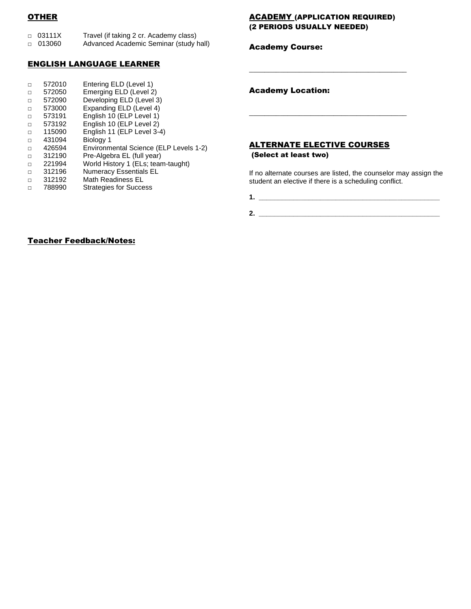# **OTHER**

| □ 03111X | Travel (if taking 2 cr. Academy class) |
|----------|----------------------------------------|
| □ 013060 | Advanced Academic Seminar (study hall) |

## ENGLISH LANGUAGE LEARNER

#### □ 572010 Entering ELD (Level 1) □ 572050 Emerging ELD (Level 2) □ 572090 Developing ELD (Level 3) □ 573000 Expanding ELD (Level 4) □ 573191 English 10 (ELP Level 1) □ 573192 English 10 (ELP Level 2) □ 115090 English 11 (ELP Level 3-4) □ 431094 Biology 1 □ 426594 Environmental Science (ELP Levels 1-2) □ 312190 Pre-Algebra EL (full year)

- □ 221994 World History 1 (ELs; team-taught)
- □ 312196 Numeracy Essentials EL
- □ 312192 Math Readiness EL<br>□ 788990 Strategies for Succe
- □ 788990 Strategies for Success

### ACADEMY (APPLICATION REQUIRED) (2 PERIODS USUALLY NEEDED)

\_\_\_\_\_\_\_\_\_\_\_\_\_\_\_\_\_\_\_\_\_\_\_\_\_\_\_\_\_\_\_\_\_\_\_\_\_\_\_\_\_

\_\_\_\_\_\_\_\_\_\_\_\_\_\_\_\_\_\_\_\_\_\_\_\_\_\_\_\_\_\_\_\_\_\_\_\_\_\_\_\_\_

#### Academy Course:

Academy Location:

## ALTERNATE ELECTIVE COURSES (Select at least two)

If no alternate courses are listed, the counselor may assign the student an elective if there is a scheduling conflict.

**1. \_\_\_\_\_\_\_\_\_\_\_\_\_\_\_\_\_\_\_\_\_\_\_\_\_\_\_\_\_\_\_\_\_\_\_\_\_\_\_\_\_\_\_\_\_\_\_**

**2. \_\_\_\_\_\_\_\_\_\_\_\_\_\_\_\_\_\_\_\_\_\_\_\_\_\_\_\_\_\_\_\_\_\_\_\_\_\_\_\_\_\_\_\_\_\_\_**

## Teacher Feedback/Notes: